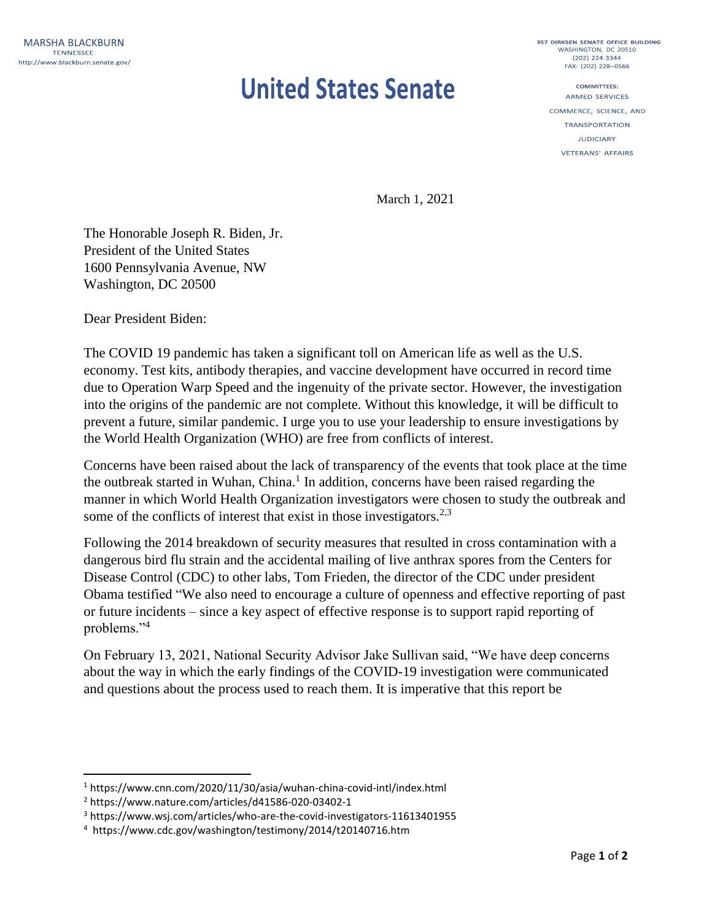## **United States Senate**

357 DIRKSEN SENATE OFFICE BUILDING WASHINGTON, DC 20510 (202) 224-3344 FAX: (202) 228 -- 0566

**COMMITTEES: ARMED SERVICES** COMMERCE, SCIENCE, AND **TRANSPORTATION** 

**IUDICIARY** 

**VETERANS' AFFAIRS** 

March 1, 2021

The Honorable Joseph R. Biden, Jr. President of the United States 1600 Pennsylvania Avenue, NW Washington, DC 20500

Dear President Biden:

The COVID 19 pandemic has taken a significant toll on American life as well as the U.S. economy. Test kits, antibody therapies, and vaccine development have occurred in record time due to Operation Warp Speed and the ingenuity of the private sector. However, the investigation into the origins of the pandemic are not complete. Without this knowledge, it will be difficult to prevent a future, similar pandemic. I urge you to use your leadership to ensure investigations by the World Health Organization (WHO) are free from conflicts of interest.

Concerns have been raised about the lack of transparency of the events that took place at the time the outbreak started in Wuhan, China.<sup>1</sup> In addition, concerns have been raised regarding the manner in which World Health Organization investigators were chosen to study the outbreak and some of the conflicts of interest that exist in those investigators.<sup>2,3</sup>

Following the 2014 breakdown of security measures that resulted in cross contamination with a dangerous bird flu strain and the accidental mailing of live anthrax spores from the Centers for Disease Control (CDC) to other labs, Tom Frieden, the director of the CDC under president Obama testified "We also need to encourage a culture of openness and effective reporting of past or future incidents – since a key aspect of effective response is to support rapid reporting of problems."<sup>4</sup>

On February 13, 2021, National Security Advisor Jake Sullivan said, "We have deep concerns about the way in which the early findings of the COVID-19 investigation were communicated and questions about the process used to reach them. It is imperative that this report be

l

<sup>1</sup> https://www.cnn.com/2020/11/30/asia/wuhan-china-covid-intl/index.html

<sup>2</sup> https://www.nature.com/articles/d41586-020-03402-1

<sup>3</sup> https://www.wsj.com/articles/who-are-the-covid-investigators-11613401955

<sup>4</sup> https://www.cdc.gov/washington/testimony/2014/t20140716.htm